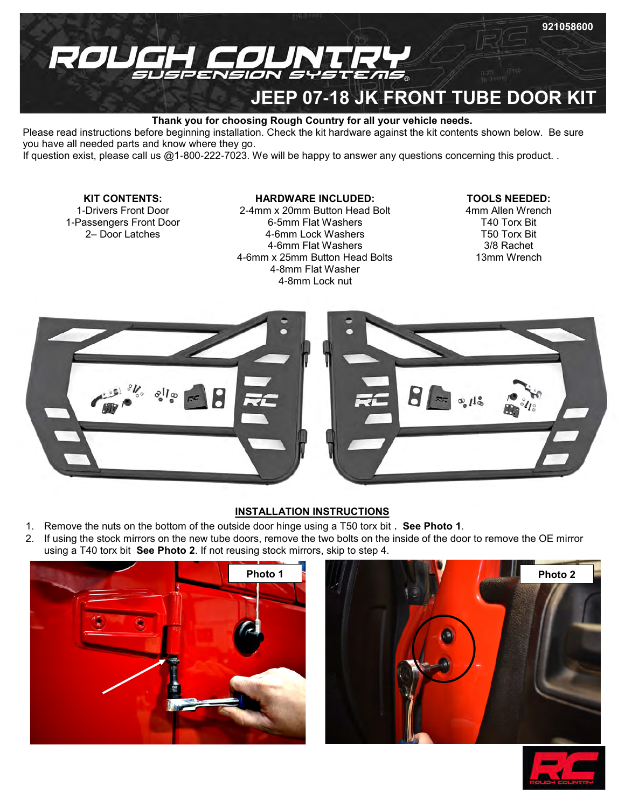

## **Thank you for choosing Rough Country for all your vehicle needs.**

Please read instructions before beginning installation. Check the kit hardware against the kit contents shown below. Be sure you have all needed parts and know where they go.

If question exist, please call us @1-800-222-7023. We will be happy to answer any questions concerning this product. .

# **KIT CONTENTS:**

1-Drivers Front Door 1-Passengers Front Door 2– Door Latches

# **HARDWARE INCLUDED:**

-4mm x 20mm Button Head Bolt -5mm Flat Washers -6mm Lock Washers -6mm Flat Washers -6mm x 25mm Button Head Bolts -8mm Flat Washer -8mm Lock nut

## **TOOLS NEEDED:**

4mm Allen Wrench T40 Torx Bit T50 Torx Bit 3/8 Rachet 13mm Wrench



#### **INSTALLATION INSTRUCTIONS**

- 1. Remove the nuts on the bottom of the outside door hinge using a T50 torx bit . **See Photo 1**.
- 2. If using the stock mirrors on the new tube doors, remove the two bolts on the inside of the door to remove the OE mirror using a T40 torx bit **See Photo 2**. If not reusing stock mirrors, skip to step 4.





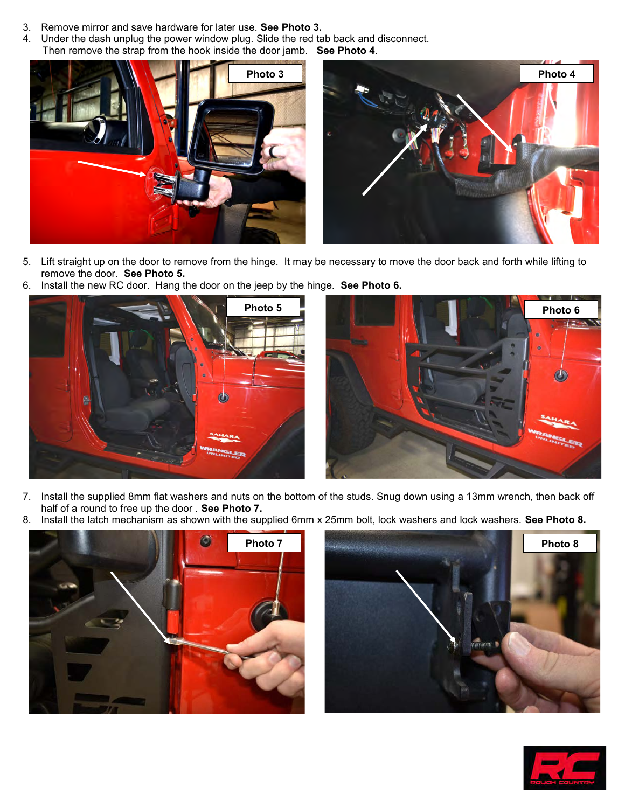- 3. Remove mirror and save hardware for later use. **See Photo 3.**
- 4. Under the dash unplug the power window plug. Slide the red tab back and disconnect. Then remove the strap from the hook inside the door jamb. **See Photo 4**.



- 5. Lift straight up on the door to remove from the hinge. It may be necessary to move the door back and forth while lifting to remove the door. **See Photo 5.**
- 6. Install the new RC door. Hang the door on the jeep by the hinge. **See Photo 6.**





- 7. Install the supplied 8mm flat washers and nuts on the bottom of the studs. Snug down using a 13mm wrench, then back off half of a round to free up the door . **See Photo 7.**
- 8. Install the latch mechanism as shown with the supplied 6mm x 25mm bolt, lock washers and lock washers. **See Photo 8.**





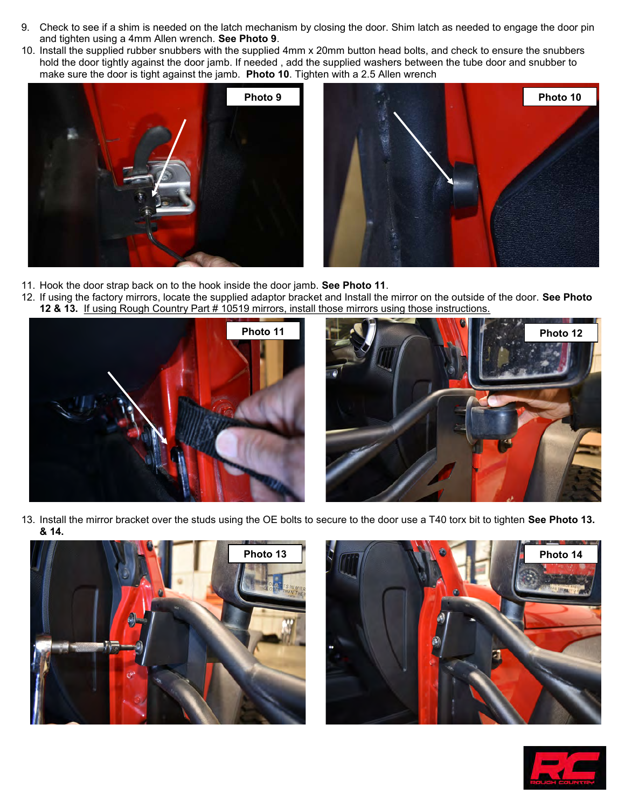- 9. Check to see if a shim is needed on the latch mechanism by closing the door. Shim latch as needed to engage the door pin and tighten using a 4mm Allen wrench. **See Photo 9**.
- 10. Install the supplied rubber snubbers with the supplied 4mm x 20mm button head bolts, and check to ensure the snubbers hold the door tightly against the door jamb. If needed , add the supplied washers between the tube door and snubber to make sure the door is tight against the jamb. **Photo 10**. Tighten with a 2.5 Allen wrench



- 11. Hook the door strap back on to the hook inside the door jamb. **See Photo 11**.
- 12. If using the factory mirrors, locate the supplied adaptor bracket and Install the mirror on the outside of the door. **See Photo 12 & 13.** If using Rough Country Part # 10519 mirrors, install those mirrors using those instructions.





13. Install the mirror bracket over the studs using the OE bolts to secure to the door use a T40 torx bit to tighten **See Photo 13. & 14.**